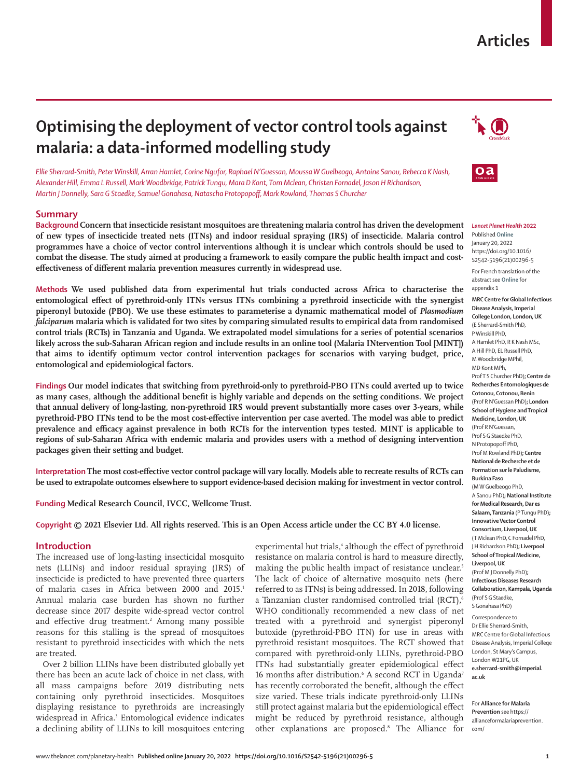# **Articles**

# **Optimising the deployment of vector control tools against malaria: a data-informed modelling study**

*Ellie Sherrard-Smith, Peter Winskill, Arran Hamlet, Corine Ngufor, Raphael N'Guessan, Moussa W Guelbeogo, Antoine Sanou, Rebecca K Nash, Alexander Hill, Emma L Russell, Mark Woodbridge, Patrick Tungu, Mara D Kont, Tom Mclean, Christen Fornadel, Jason H Richardson, Martin J Donnelly, Sara G Staedke, Samuel Gonahasa, Natascha Protopopoff, Mark Rowland, Thomas S Churcher*

# **Summary**

**Background Concern that insecticide resistant mosquitoes are threatening malaria control has driven the development of new types of insecticide treated nets (ITNs) and indoor residual spraying (IRS) of insecticide. Malaria control programmes have a choice of vector control interventions although it is unclear which controls should be used to combat the disease. The study aimed at producing a framework to easily compare the public health impact and costeffectiveness of different malaria prevention measures currently in widespread use.**

**Methods We used published data from experimental hut trials conducted across Africa to characterise the entomological effect of pyrethroid-only ITNs versus ITNs combining a pyrethroid insecticide with the synergist piperonyl butoxide (PBO). We use these estimates to parameterise a dynamic mathematical model of** *Plasmodium falciparum* **malaria which is validated for two sites by comparing simulated results to empirical data from randomised control trials (RCTs) in Tanzania and Uganda. We extrapolated model simulations for a series of potential scenarios likely across the sub-Saharan African region and include results in an online tool (Malaria INtervention Tool [MINT]) that aims to identify optimum vector control intervention packages for scenarios with varying budget, price, entomological and epidemiological factors.**

**Findings Our model indicates that switching from pyrethroid-only to pyrethroid-PBO ITNs could averted up to twice as many cases, although the additional benefit is highly variable and depends on the setting conditions. We project that annual delivery of long-lasting, non-pyrethroid IRS would prevent substantially more cases over 3-years, while pyrethroid-PBO ITNs tend to be the most cost-effective intervention per case averted. The model was able to predict prevalence and efficacy against prevalence in both RCTs for the intervention types tested. MINT is applicable to regions of sub-Saharan Africa with endemic malaria and provides users with a method of designing intervention packages given their setting and budget.**

**Interpretation The most cost-effective vector control package will vary locally. Models able to recreate results of RCTs can be used to extrapolate outcomes elsewhere to support evidence-based decision making for investment in vector control.**

**Funding Medical Research Council, IVCC, Wellcome Trust.**

**Copyright © 2021 Elsevier Ltd. All rights reserved. This is an Open Access article under the CC BY 4.0 license.**

# **Introduction**

The increased use of long-lasting insecticidal mosquito nets (LLINs) and indoor residual spraying (IRS) of insecticide is predicted to have prevented three quarters of malaria cases in Africa between 2000 and 2015.1 Annual malaria case burden has shown no further decrease since 2017 despite wide-spread vector control and effective drug treatment.<sup>2</sup> Among many possible reasons for this stalling is the spread of mosquitoes resistant to pyrethroid insecticides with which the nets are treated.

Over 2 billion LLINs have been distributed globally yet there has been an acute lack of choice in net class, with all mass campaigns before 2019 distributing nets containing only pyrethroid insecticides. Mosquitoes displaying resistance to pyrethroids are increasingly widespread in Africa.<sup>3</sup> Entomological evidence indicates a declining ability of LLINs to kill mosquitoes entering

experimental hut trials,<sup>4</sup> although the effect of pyrethroid resistance on malaria control is hard to measure directly, making the public health impact of resistance unclear.<sup>5</sup> The lack of choice of alternative mosquito nets (here referred to as ITNs) is being addressed. In 2018, following a Tanzanian cluster randomised controlled trial (RCT),<sup>6</sup> WHO conditionally recommended a new class of net treated with a pyrethroid and synergist piperonyl butoxide (pyrethroid-PBO ITN) for use in areas with pyrethroid resistant mosquitoes. The RCT showed that compared with pyrethroid-only LLINs, pyrethroid-PBO ITNs had substantially greater epidemiological effect 16 months after distribution.<sup>6</sup> A second RCT in Uganda<sup>7</sup> has recently corroborated the benefit, although the effect size varied. These trials indicate pyrethroid-only LLINs still protect against malaria but the epidemiological effect might be reduced by pyrethroid resistance, although other explanations are proposed.8 The [Alliance for](https://allianceformalariaprevention.com/)





#### *Lancet Planet Health* **2022**

Published **Online** January 20, 2022 https://doi.org/10.1016/ S2542-5196(21)00296-5

For French translation of the abstract see **Online** for appendix 1

**MRC Centre for Global Infectious Disease Analysis, Imperial College London, London, UK** (E Sherrard-Smith PhD, P Winskill PhD, A Hamlet PhD, R K Nash MSc, A Hill PhD, EL Russell PhD, M Woodbridge MPhil, MD Kont MPh, Prof T S Churcher PhD)**; Centre de Recherches Entomologiques de Cotonou, Cotonou, Benin** (Prof R N'Guessan PhD)**; London School of Hygiene and Tropical Medicine, London, UK** (Prof R N'Guessan, Prof S G Staedke PhD, N Protopopoff PhD, Prof M Rowland PhD)**; Centre National de Recherche et de Formation sur le Paludisme, Burkina Faso** (M W Guelbeogo PhD, A Sanou PhD)**;National Institute for Medical Research, Dar es Salaam, Tanzania** (P Tungu PhD)**; Innovative Vector Control Consortium, Liverpool, UK** (T Mclean PhD, C Fornadel PhD, J H Richardson PhD)**; Liverpool School of Tropical Medicine, Liverpool, UK** (Prof M J Donnelly PhD)**; Infectious Diseases Research Collaboration, Kampala, Uganda** (Prof S G Staedke, S Gonahasa PhD)

Correspondence to: Dr Ellie Sherrard-Smith, MRC Centre for Global Infectious Disease Analysis, Imperial College London, St Mary's Campus, London W21PG, UK **e.sherrard-smith@imperial. ac.uk**

For **Alliance for Malaria Prevention** see [https://](https://allianceformalariaprevention.com/) [allianceformalariaprevention.](https://allianceformalariaprevention.com/) [com/](https://allianceformalariaprevention.com/)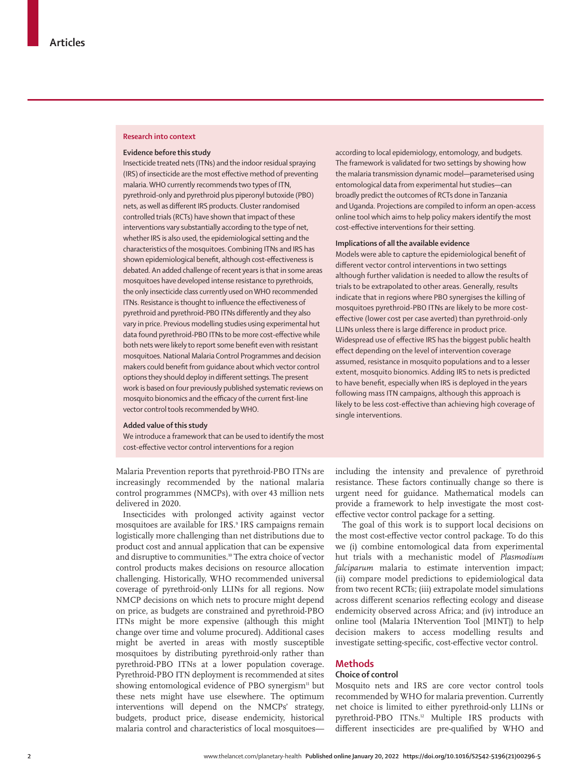## **Research into context**

## **Evidence before this study**

Insecticide treated nets (ITNs) and the indoor residual spraying (IRS) of insecticide are the most effective method of preventing malaria. WHO currently recommends two types of ITN, pyrethroid-only and pyrethroid plus piperonyl butoxide (PBO) nets, as well as different IRS products. Cluster randomised controlled trials (RCTs) have shown that impact of these interventions vary substantially according to the type of net, whether IRS is also used, the epidemiological setting and the characteristics of the mosquitoes. Combining ITNs and IRS has shown epidemiological benefit, although cost-effectiveness is debated. An added challenge of recent years is that in some areas mosquitoes have developed intense resistance to pyrethroids, the only insecticide class currently used on WHO recommended ITNs. Resistance is thought to influence the effectiveness of pyrethroid and pyrethroid-PBO ITNs differently and they also vary in price. Previous modelling studies using experimental hut data found pyrethroid-PBO ITNs to be more cost-effective while both nets were likely to report some benefit even with resistant mosquitoes. National Malaria Control Programmes and decision makers could benefit from guidance about which vector control options they should deploy in different settings. The present work is based on four previously published systematic reviews on mosquito bionomics and the efficacy of the current first-line vector control tools recommended by WHO.

## **Added value of this study**

We introduce a framework that can be used to identify the most cost-effective vector control interventions for a region

[Malaria Prevention](https://allianceformalariaprevention.com/) reports that pyrethroid-PBO ITNs are increasingly recommended by the national malaria control programmes (NMCPs), with over 43 million nets delivered in 2020.

Insecticides with prolonged activity against vector mosquitoes are available for IRS.<sup>9</sup> IRS campaigns remain logistically more challenging than net distributions due to product cost and annual application that can be expensive and disruptive to communities.<sup>10</sup> The extra choice of vector control products makes decisions on resource allocation challenging. Historically, WHO recommended universal coverage of pyrethroid-only LLINs for all regions. Now NMCP decisions on which nets to procure might depend on price, as budgets are constrained and pyrethroid-PBO ITNs might be more expensive (although this might change over time and volume procured). Additional cases might be averted in areas with mostly susceptible mosquitoes by distributing pyrethroid-only rather than pyrethroid-PBO ITNs at a lower population coverage. Pyrethroid-PBO ITN deployment is recommended at sites showing entomological evidence of PBO synergism<sup>11</sup> but these nets might have use elsewhere. The optimum interventions will depend on the NMCPs' strategy, budgets, product price, disease endemicity, historical malaria control and characteristics of local mosquitoesaccording to local epidemiology, entomology, and budgets. The framework is validated for two settings by showing how the malaria transmission dynamic model—parameterised using entomological data from experimental hut studies—can broadly predict the outcomes of RCTs done in Tanzania and Uganda. Projections are compiled to inform an open-access online tool which aims to help policy makers identify the most cost-effective interventions for their setting.

#### **Implications of all the available evidence**

Models were able to capture the epidemiological benefit of different vector control interventions in two settings although further validation is needed to allow the results of trials to be extrapolated to other areas. Generally, results indicate that in regions where PBO synergises the killing of mosquitoes pyrethroid-PBO ITNs are likely to be more costeffective (lower cost per case averted) than pyrethroid-only LLINs unless there is large difference in product price. Widespread use of effective IRS has the biggest public health effect depending on the level of intervention coverage assumed, resistance in mosquito populations and to a lesser extent, mosquito bionomics. Adding IRS to nets is predicted to have benefit, especially when IRS is deployed in the years following mass ITN campaigns, although this approach is likely to be less cost-effective than achieving high coverage of single interventions.

including the intensity and prevalence of pyrethroid resistance. These factors continually change so there is urgent need for guidance. Mathematical models can provide a framework to help investigate the most costeffective vector control package for a setting.

The goal of this work is to support local decisions on the most cost-effective vector control package. To do this we (i) combine entomological data from experimental hut trials with a mechanistic model of *Plasmodium falciparum* malaria to estimate intervention impact; (ii) compare model predictions to epidemiological data from two recent RCTs; (iii) extrapolate model simulations across different scenarios reflecting ecology and disease endemicity observed across Africa; and (iv) introduce an online tool (Malaria INtervention Tool [MINT]) to help decision makers to access modelling results and investigate setting-specific, cost-effective vector control.

### **Methods**

# **Choice of control**

Mosquito nets and IRS are core vector control tools recommended by WHO for malaria prevention. Currently net choice is limited to either pyrethroid-only LLINs or pyrethroid-PBO ITNs.<sup>12</sup> Multiple IRS products with different insecticides are pre-qualified by WHO and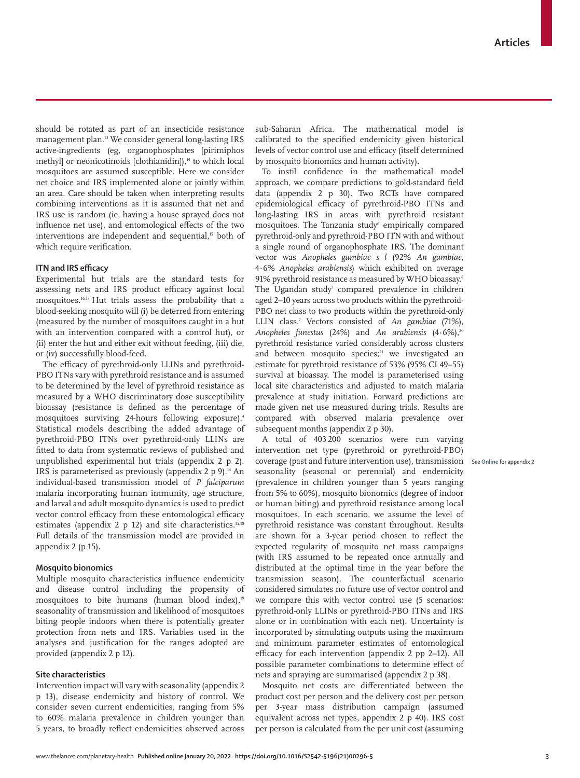should be rotated as part of an insecticide resistance management plan.13 We consider general long-lasting IRS active-ingredients (eg, organophosphates [pirimiphos methyl) or neonicotinoids [clothianidin]),<sup>14</sup> to which local mosquitoes are assumed susceptible. Here we consider net choice and IRS implemented alone or jointly within an area. Care should be taken when interpreting results combining interventions as it is assumed that net and IRS use is random (ie, having a house sprayed does not influence net use), and entomological effects of the two interventions are independent and sequential,<sup>15</sup> both of which require verification.

# **ITN and IRS efficacy**

Experimental hut trials are the standard tests for assessing nets and IRS product efficacy against local mosquitoes.16,17 Hut trials assess the probability that a blood-seeking mosquito will (i) be deterred from entering (measured by the number of mosquitoes caught in a hut with an intervention compared with a control hut), or (ii) enter the hut and either exit without feeding, (iii) die, or (iv) successfully blood-feed.

The efficacy of pyrethroid-only LLINs and pyrethroid-PBO ITNs vary with pyrethroid resistance and is assumed to be determined by the level of pyrethroid resistance as measured by a WHO discriminatory dose susceptibility bioassay (resistance is defined as the percentage of mosquitoes surviving 24-hours following exposure).4 Statistical models describing the added advantage of pyrethroid-PBO ITNs over pyrethroid-only LLINs are fitted to data from systematic reviews of published and unpublished experimental hut trials (appendix 2 p 2). IRS is parameterised as previously (appendix 2 p 9).<sup>14</sup> An individual-based transmission model of *P falciparum* malaria incorporating human immunity, age structure, and larval and adult mosquito dynamics is used to predict vector control efficacy from these entomological efficacy estimates (appendix 2 p 12) and site characteristics. $15,18$ Full details of the transmission model are provided in appendix 2 (p 15).

# **Mosquito bionomics**

Multiple mosquito characteristics influence endemicity and disease control including the propensity of mosquitoes to bite humans (human blood index),<sup>19</sup> seasonality of transmission and likelihood of mosquitoes biting people indoors when there is potentially greater protection from nets and IRS. Variables used in the analyses and justification for the ranges adopted are provided (appendix 2 p 12).

# **Site characteristics**

Intervention impact will vary with seasonality (appendix 2 p 13), disease endemicity and history of control. We consider seven current endemicities, ranging from 5% to 60% malaria prevalence in children younger than 5 years, to broadly reflect endemicities observed across sub-Saharan Africa. The mathematical model is calibrated to the specified endemicity given historical levels of vector control use and efficacy (itself determined by mosquito bionomics and human activity).

To instil confidence in the mathematical model approach, we compare predictions to gold-standard field data (appendix 2 p 30). Two RCTs have compared epidemiological efficacy of pyrethroid-PBO ITNs and long-lasting IRS in areas with pyrethroid resistant mosquitoes. The Tanzania study<sup>6</sup> empirically compared pyrethroid-only and pyrethroid-PBO ITN with and without a single round of organophosphate IRS. The dominant vector was *Anopheles gambiae s l* (92% *An gambiae*, 4·6% *Anopheles arabiensis*) which exhibited on average 91% pyrethroid resistance as measured by WHO bioassay.<sup>6</sup> The Ugandan study<sup>7</sup> compared prevalence in children aged 2–10 years across two products within the pyrethroid-PBO net class to two products within the pyrethroid-only LLIN class.7 Vectors consisted of *An gambiae* (71%), Anopheles funestus (24%) and *An arabiensis* (4.6%),<sup>20</sup> pyrethroid resistance varied considerably across clusters and between mosquito species;<sup>21</sup> we investigated an estimate for pyrethroid resistance of 53% (95% CI 49–55) survival at bioassay. The model is parameterised using local site characteristics and adjusted to match malaria prevalence at study initiation. Forward predictions are made given net use measured during trials. Results are compared with observed malaria prevalence over subsequent months (appendix 2 p 30).

A total of 403 200 scenarios were run varying intervention net type (pyrethroid or pyrethroid-PBO) coverage (past and future intervention use), transmission See **Online** for appendix 2seasonality (seasonal or perennial) and endemicity (prevalence in children younger than 5 years ranging from 5% to 60%), mosquito bionomics (degree of indoor or human biting) and pyrethroid resistance among local mosquitoes. In each scenario, we assume the level of pyrethroid resistance was constant throughout. Results are shown for a 3-year period chosen to reflect the expected regularity of mosquito net mass campaigns (with IRS assumed to be repeated once annually and distributed at the optimal time in the year before the transmission season). The counterfactual scenario considered simulates no future use of vector control and we compare this with vector control use (5 scenarios: pyrethroid-only LLINs or pyrethroid-PBO ITNs and IRS alone or in combination with each net). Uncertainty is incorporated by simulating outputs using the maximum and minimum parameter estimates of entomological efficacy for each intervention (appendix 2 pp 2–12). All possible parameter combinations to determine effect of nets and spraying are summarised (appendix 2 p 38).

Mosquito net costs are differentiated between the product cost per person and the delivery cost per person per 3-year mass distribution campaign (assumed equivalent across net types, appendix 2 p 40). IRS cost per person is calculated from the per unit cost (assuming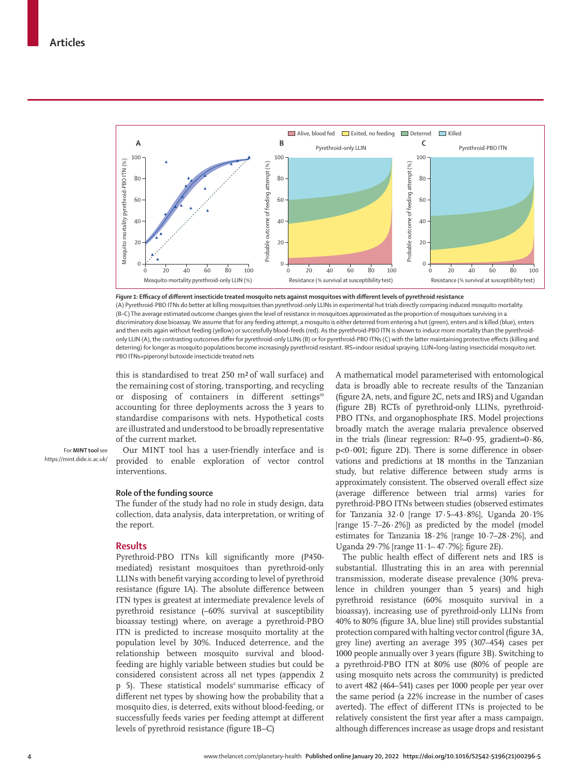

*Figure 1:* **Efficacy of different insecticide treated mosquito nets against mosquitoes with different levels of pyrethroid resistance** (A) Pyrethroid-PBO ITNs do better at killing mosquitoes than pyrethroid-only LLINs in experimental hut trials directly comparing induced mosquito mortality. (B–C) The average estimated outcome changes given the level of resistance in mosquitoes approximated as the proportion of mosquitoes surviving in a discriminatory dose bioassay. We assume that for any feeding attempt, a mosquito is either deterred from entering a hut (green), enters and is killed (blue), enters and then exits again without feeding (yellow) or successfully blood-feeds (red). As the pyrethroid-PBO ITN is shown to induce more mortality than the pyrethroidonly LLIN (A), the contrasting outcomes differ for pyrethroid-only LLINs (B) or for pyrethroid-PBO ITNs (C) with the latter maintaining protective effects (killing and deterring) for longer as mosquito populations become increasingly pyrethroid resistant. IRS=indoor residual spraying. LLIN=long-lasting insecticidal mosquito net. PBO ITNs=piperonyl butoxide insecticide treated nets

this is standardised to treat 250 m² of wall surface) and the remaining cost of storing, transporting, and recycling or disposing of containers in different settings<sup>10</sup> accounting for three deployments across the 3 years to standardise comparisons with nets. Hypothetical costs are illustrated and understood to be broadly representative of the current market.

For **MINT tool** see <https://mint.dide.ic.ac.uk/>

Our [MINT tool](https://mint.dide.ic.ac.uk/) has a user-friendly interface and is provided to enable exploration of vector control interventions.

# **Role of the funding source**

The funder of the study had no role in study design, data collection, data analysis, data interpretation, or writing of the report.

## **Results**

Pyrethroid-PBO ITNs kill significantly more (P450 mediated) resistant mosquitoes than pyrethroid-only LLINs with benefit varying according to level of pyrethroid resistance (figure 1A). The absolute difference between ITN types is greatest at intermediate prevalence levels of pyrethroid resistance (~60% survival at susceptibility bioassay testing) where, on average a pyrethroid-PBO ITN is predicted to increase mosquito mortality at the population level by 30%. Induced deterrence, and the relationship between mosquito survival and bloodfeeding are highly variable between studies but could be considered consistent across all net types (appendix 2 p 5). These statistical models<sup>4</sup> summarise efficacy of different net types by showing how the probability that a mosquito dies, is deterred, exits without blood-feeding, or successfully feeds varies per feeding attempt at different levels of pyrethroid resistance (figure 1B–C)

A mathematical model parameterised with entomological data is broadly able to recreate results of the Tanzanian (figure 2A, nets, and figure 2C, nets and IRS) and Ugandan (figure 2B) RCTs of pyrethroid-only LLINs, pyrethroid-PBO ITNs, and organophosphate IRS. Model projections broadly match the average malaria prevalence observed in the trials (linear regression:  $R<sup>2</sup>=0.95$ , gradient=0.86, p<0·001; figure 2D). There is some difference in observations and predictions at 18 months in the Tanzanian study, but relative difference between study arms is approximately consistent. The observed overall effect size (average difference between trial arms) varies for pyrethroid-PBO ITNs between studies (observed estimates for Tanzania 32·0 [range 17·5–43·8%], Uganda 20·1% [range  $15.7-26.2%$ ]) as predicted by the model (model estimates for Tanzania 18·2% [range 10·7–28·2%], and Uganda 29·7% [range 11·1– 47·7%]; figure 2E).

The public health effect of different nets and IRS is substantial. Illustrating this in an area with perennial transmission, moderate disease prevalence (30% prevalence in children younger than 5 years) and high pyrethroid resistance (60% mosquito survival in a bioassay), increasing use of pyrethroid-only LLINs from 40% to 80% (figure 3A, blue line) still provides substantial protection compared with halting vector control (figure 3A, grey line) averting an average 395 (307–454) cases per 1000 people annually over 3 years (figure 3B). Switching to a pyrethroid-PBO ITN at 80% use (80% of people are using mosquito nets across the community) is predicted to avert 482 (464–541) cases per 1000 people per year over the same period (a 22% increase in the number of cases averted). The effect of different ITNs is projected to be relatively consistent the first year after a mass campaign, although differences increase as usage drops and resistant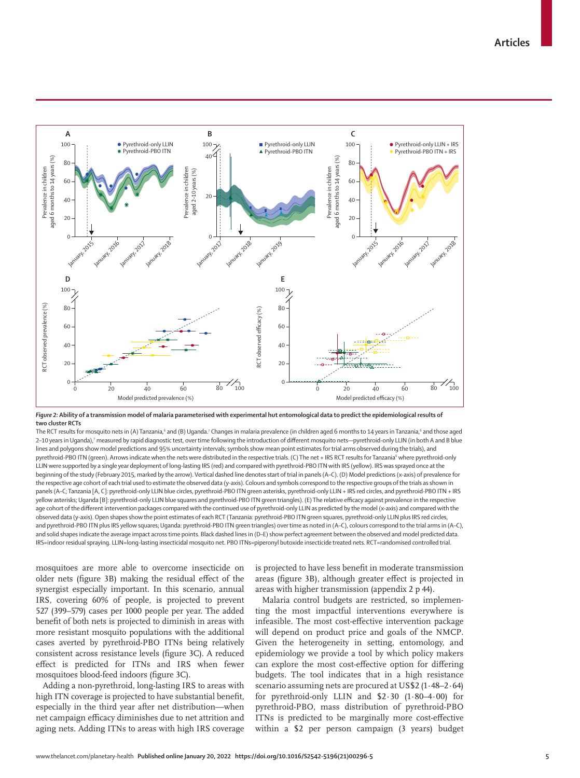

*Figure 2:* **Ability of a transmission model of malaria parameterised with experimental hut entomological data to predict the epidemiological results of two cluster RCTs**

The RCT results for mosquito nets in (A) Tanzania,<sup>6</sup> and (B) Uganda.<sup>7</sup> Changes in malaria prevalence (in children aged 6 months to 14 years in Tanzania,<sup>6</sup> and those aged 2–10 years in Uganda),7 measured by rapid diagnostic test, over time following the introduction of different mosquito nets—pyrethroid-only LLIN (in both A and B blue lines and polygons show model predictions and 95% uncertainty intervals; symbols show mean point estimates for trial arms observed during the trials), and pyrethroid-PBO ITN (green). Arrows indicate when the nets were distributed in the respective trials. (C) The net + IRS RCT results for Tanzania<sup>6</sup> where pyrethroid-only LLIN were supported by a single year deployment of long-lasting IRS (red) and compared with pyrethroid-PBO ITN with IRS (yellow). IRS was sprayed once at the beginning of the study (February 2015, marked by the arrow). Vertical dashed line denotes start of trial in panels (A–C). (D) Model predictions (x-axis) of prevalence for the respective age cohort of each trial used to estimate the observed data (y-axis). Colours and symbols correspond to the respective groups of the trials as shown in panels (A–C; Tanzania [A, C]: pyrethroid-only LLIN blue circles, pyrethroid-PBO ITN green asterisks, pyrethroid-only LLIN + IRS red circles, and pyrethroid-PBO ITN + IRS yellow asterisks; Uganda [B]: pyrethroid-only LLIN blue squares and pyrethroid-PBO ITN green triangles). (E) The relative efficacy against prevalence in the respective age cohort of the different intervention packages compared with the continued use of pyrethroid-only LLIN as predicted by the model (x-axis) and compared with the observed data (y-axis). Open shapes show the point estimates of each RCT (Tanzania: pyrethroid-PBO ITN green squares, pyrethroid-only LLIN plus IRS red circles, and pyrethroid-PBO ITN plus IRS yellow squares; Uganda: pyrethroid-PBO ITN green triangles) over time as noted in (A–C), colours correspond to the trial arms in (A–C), and solid shapes indicate the average impact across time points. Black dashed lines in (D–E) show perfect agreement between the observed and model predicted data. IRS=indoor residual spraying. LLIN=long-lasting insecticidal mosquito net. PBO ITNs=piperonyl butoxide insecticide treated nets. RCT=randomised controlled trial.

mosquitoes are more able to overcome insecticide on older nets (figure 3B) making the residual effect of the synergist especially important. In this scenario, annual IRS, covering 60% of people, is projected to prevent 527 (399–579) cases per 1000 people per year. The added benefit of both nets is projected to diminish in areas with more resistant mosquito populations with the additional cases averted by pyrethroid-PBO ITNs being relatively consistent across resistance levels (figure 3C). A reduced effect is predicted for ITNs and IRS when fewer mosquitoes blood-feed indoors (figure 3C).

Adding a non-pyrethroid, long-lasting IRS to areas with high ITN coverage is projected to have substantial benefit, especially in the third year after net distribution—when net campaign efficacy diminishes due to net attrition and aging nets. Adding ITNs to areas with high IRS coverage is projected to have less benefit in moderate transmission areas (figure 3B), although greater effect is projected in areas with higher transmission (appendix 2 p 44).

Malaria control budgets are restricted, so implementing the most impactful interventions everywhere is infeasible. The most cost-effective intervention package will depend on product price and goals of the NMCP. Given the heterogeneity in setting, entomology, and epidemiology we provide a tool by which policy makers can explore the most cost-effective option for differing budgets. The tool indicates that in a high resistance scenario assuming nets are procured at US\$2 (1·48–2·64) for pyrethroid-only LLIN and \$2·30 (1·80–4·00) for pyrethroid-PBO, mass distribution of pyrethroid-PBO ITNs is predicted to be marginally more cost-effective within a \$2 per person campaign (3 years) budget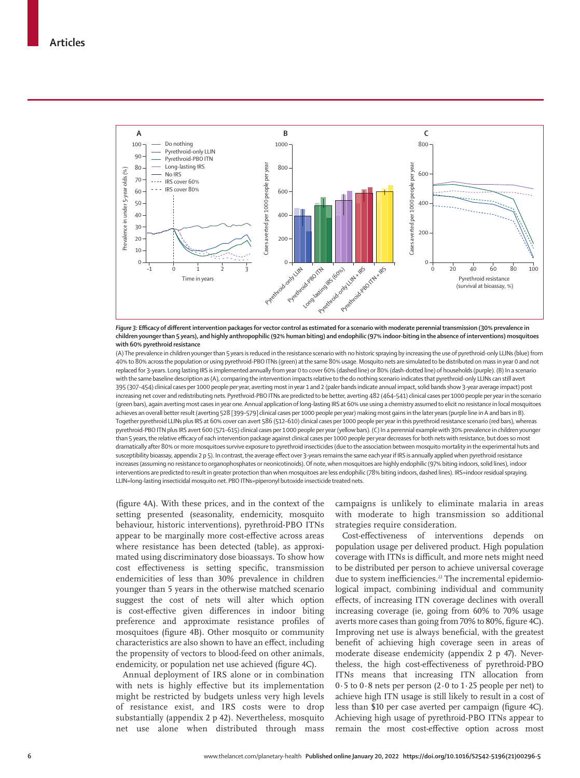

*Figure 3:* **Efficacy of different intervention packages for vector control as estimated for a scenario with moderate perennial transmission (30% prevalence in children younger than 5 years), and highly anthropophilic (92% human biting) and endophilic (97% indoor-biting in the absence of interventions) mosquitoes with 60% pyrethroid resistance**

(A) The prevalence in children younger than 5 years is reduced in the resistance scenario with no historic spraying by increasing the use of pyrethroid-only LLINs (blue) from 40% to 80% across the population or using pyrethroid-PBO ITNs (green) at the same 80% usage. Mosquito nets are simulated to be distributed on mass in year 0 and not replaced for 3-years. Long lasting IRS is implemented annually from year 0 to cover 60% (dashed line) or 80% (dash-dotted line) of households (purple). (B) In a scenario with the same baseline description as (A), comparing the intervention impacts relative to the do nothing scenario indicates that pyrethroid-only LLINs can still avert 395 (307–454) clinical cases per 1000 people per year, averting most in year 1 and 2 (paler bands indicate annual impact, solid bands show 3-year average impact) post increasing net cover and redistributing nets. Pyrethroid-PBO ITNs are predicted to be better, averting 482 (464–541) clinical cases per 1000 people per year in the scenario (green bars), again averting most cases in year one. Annual application of long-lasting IRS at 60% use using a chemistry assumed to elicit no resistance in local mosquitoes achieves an overall better result (averting 528 [399–579] clinical cases per 1000 people per year) making most gains in the later years (purple line in A and bars in B). Together pyrethroid LLINs plus IRS at 60% cover can avert 586 (512–610) clinical cases per 1000 people per year in this pyrethroid resistance scenario (red bars), whereas pyrethroid-PBO ITN plus IRS avert 600 (571–615) clinical cases per 1000 people per year (yellow bars). (C) In a perennial example with 30% prevalence in children younger than 5 years, the relative efficacy of each intervention package against clinical cases per 1000 people per year decreases for both nets with resistance, but does so most dramatically after 80% or more mosquitoes survive exposure to pyrethroid insecticides (due to the association between mosquito mortality in the experimental huts and susceptibility bioassay, appendix 2 p 5). In contrast, the average effect over 3-years remains the same each year if IRS is annually applied when pyrethroid resistance increases (assuming no resistance to organophosphates or neonicotinoids). Of note, when mosquitoes are highly endophilic (97% biting indoors, solid lines), indoor interventions are predicted to result in greater protection than when mosquitoes are less endophilic (78% biting indoors, dashed lines). IRS=indoor residual spraying. LLIN=long-lasting insecticidal mosquito net. PBO ITNs=piperonyl butoxide insecticide treated nets.

(figure 4A). With these prices, and in the context of the setting presented (seasonality, endemicity, mosquito behaviour, historic interventions), pyrethroid-PBO ITNs appear to be marginally more cost-effective across areas where resistance has been detected (table), as approximated using discriminatory dose bioassays. To show how cost effectiveness is setting specific, transmission endemicities of less than 30% prevalence in children younger than 5 years in the otherwise matched scenario suggest the cost of nets will alter which option is cost-effective given differences in indoor biting preference and approximate resistance profiles of mosquitoes (figure 4B). Other mosquito or community characteristics are also shown to have an effect, including the propensity of vectors to blood-feed on other animals, endemicity, or population net use achieved (figure 4C).

Annual deployment of IRS alone or in combination with nets is highly effective but its implementation might be restricted by budgets unless very high levels of resistance exist, and IRS costs were to drop substantially (appendix 2 p 42). Nevertheless, mosquito net use alone when distributed through mass campaigns is unlikely to eliminate malaria in areas with moderate to high transmission so additional strategies require consideration.

Cost-effectiveness of interventions depends on population usage per delivered product. High population coverage with ITNs is difficult, and more nets might need to be distributed per person to achieve universal coverage due to system inefficiencies.<sup>22</sup> The incremental epidemiological impact, combining individual and community effects, of increasing ITN coverage declines with overall increasing coverage (ie, going from 60% to 70% usage averts more cases than going from 70% to 80%, figure 4C). Improving net use is always beneficial, with the greatest benefit of achieving high coverage seen in areas of moderate disease endemicity (appendix 2 p 47). Nevertheless, the high cost-effectiveness of pyrethroid-PBO ITNs means that increasing ITN allocation from 0·5 to 0·8 nets per person (2∙0 to 1·25 people per net) to achieve high ITN usage is still likely to result in a cost of less than \$10 per case averted per campaign (figure 4C). Achieving high usage of pyrethroid-PBO ITNs appear to remain the most cost-effective option across most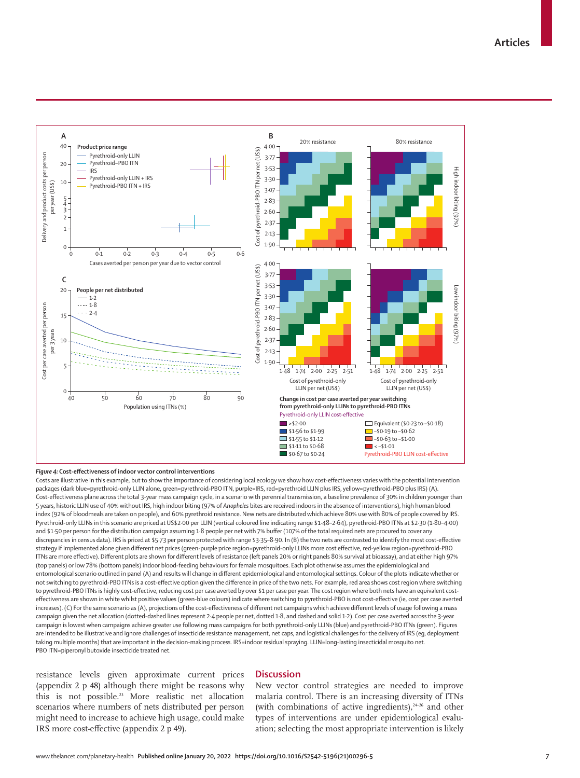

#### *Figure 4:* **Cost-effectiveness of indoor vector control interventions**

Costs are illustrative in this example, but to show the importance of considering local ecology we show how cost-effectiveness varies with the potential intervention packages (dark blue=pyrethroid-only LLIN alone, green=pyrethroid-PBO ITN, purple=IRS, red=pyrethroid LLIN plus IRS, yellow=pyrethroid-PBO plus IRS) (A). Cost-effectiveness plane across the total 3-year mass campaign cycle, in a scenario with perennial transmission, a baseline prevalence of 30% in children younger than 5 years, historic LLIN use of 40% without IRS, high indoor biting (97% of *Anopheles* bites are received indoors in the absence of interventions), high human blood index (92% of bloodmeals are taken on people), and 60% pyrethroid resistance. New nets are distributed which achieve 80% use with 80% of people covered by IRS. Pyrethroid-only LLINs in this scenario are priced at US\$2·00 per LLIN (vertical coloured line indicating range \$1·48–2·64), pyrethroid-PBO ITNs at \$2·30 (1·80–4·00) and \$1·50 per person for the distribution campaign assuming 1·8 people per net with 7% buffer (107% of the total required nets are procured to cover any discrepancies in census data). IRS is priced at \$5·73 per person protected with range \$3·35–8·90. In (B) the two nets are contrasted to identify the most cost-effective strategy if implemented alone given different net prices (green-purple price region=pyrethroid-only LLINs more cost effective, red-yellow region=pyrethroid-PBO ITNs are more effective). Different plots are shown for different levels of resistance (left panels 20% or right panels 80% survival at bioassay), and at either high 97% (top panels) or low 78% (bottom panels) indoor blood-feeding behaviours for female mosquitoes. Each plot otherwise assumes the epidemiological and entomological scenario outlined in panel (A) and results will change in different epidemiological and entomological settings. Colour of the plots indicate whether or not switching to pyrethroid-PBO ITNs is a cost-effective option given the difference in price of the two nets. For example, red area shows cost region where switching to pyrethroid-PBO ITNs is highly cost-effective, reducing cost per case averted by over \$1 per case per year. The cost region where both nets have an equivalent costeffectiveness are shown in white whilst positive values (green-blue colours) indicate where switching to pyrethroid-PBO is not cost-effective (ie, cost per case averted increases). (C) For the same scenario as (A), projections of the cost-effectiveness of different net campaigns which achieve different levels of usage following a mass campaign given the net allocation (dotted-dashed lines represent 2·4 people per net, dotted 1·8, and dashed and solid 1·2). Cost per case averted across the 3-year campaign is lowest when campaigns achieve greater use following mass campaigns for both pyrethroid-only LLINs (blue) and pyrethroid-PBO ITNs (green). Figures are intended to be illustrative and ignore challenges of insecticide resistance management, net caps, and logistical challenges for the delivery of IRS (eg, deployment taking multiple months) that are important in the decision-making process. IRS=indoor residual spraying. LLIN=long-lasting insecticidal mosquito net. PBO ITN=piperonyl butoxide insecticide treated net.

resistance levels given approximate current prices (appendix 2 p 48) although there might be reasons why this is not possible.23 More realistic net allocation scenarios where numbers of nets distributed per person might need to increase to achieve high usage, could make IRS more cost-effective (appendix 2 p 49).

# **Discussion**

New vector control strategies are needed to improve malaria control. There is an increasing diversity of ITNs (with combinations of active ingredients), $24-26$  and other types of interventions are under epidemiological evaluation; selecting the most appropriate intervention is likely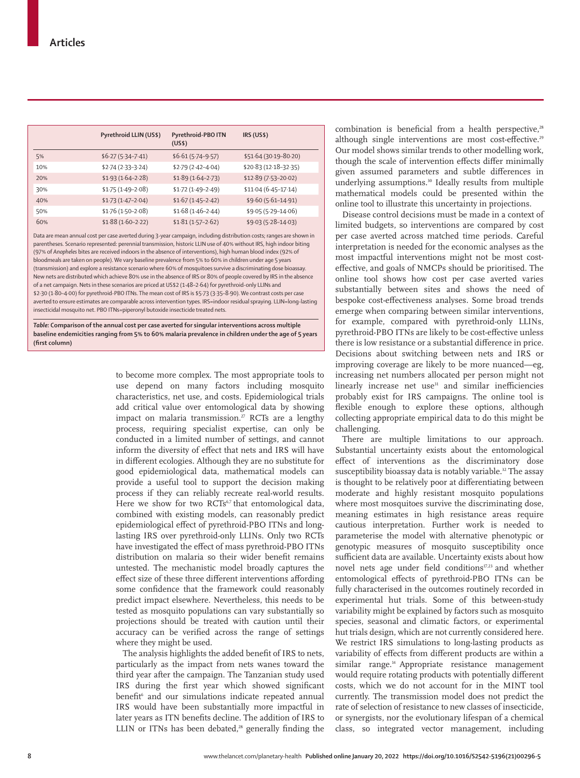|     | Pyrethroid LLIN (US\$) | Pyrethroid-PBO ITN<br>(US\$) | IRS (US\$)            |
|-----|------------------------|------------------------------|-----------------------|
| 5%  | $$6.27 (5.34 - 7.41)$  | $$6.61(5.74-9.57)$           | \$51.64 (30.19-80.20) |
| 10% | $$2.74(2.33-3.24)$     | $$2.79(2.42 - 4.04)$         | \$20.83 (12.18-32.35) |
| 20% | $$1.93(1.64-2.28)$     | $$1.89(1.64-2.73)$           | \$12.89 (7.53-20.02)  |
| 30% | $$1.75(1.49-2.08)$     | $$1.72(1.49-2.49)$           | $$11.04(6.45-17.14)$  |
| 40% | $$1.73(1.47-2.04)$     | $$1.67(1.45-2.42)$           | $$9.60(5.61-14.91)$   |
| 50% | $$1.76(1.50-2.08)$     | $$1.68(1.46-2.44)$           | \$9.05 (5.29-14.06)   |
| 60% | $$1.88(1.60-2.22)$     | $$1.81(1.57-2.62)$           | $$9.03(5.28 - 14.03)$ |

Data are mean annual cost per case averted during 3-year campaign, including distribution costs; ranges are shown in parentheses. Scenario represented: perennial transmission, historic LLIN use of 40% without IRS, high indoor biting (97% of *Anopheles* bites are received indoors in the absence of interventions), high human blood index (92% of bloodmeals are taken on people). We vary baseline prevalence from 5% to 60% in children under age 5 years (transmission) and explore a resistance scenario where 60% of mosquitoes survive a discriminating dose bioassay. New nets are distributed which achieve 80% use in the absence of IRS or 80% of people covered by IRS in the absence of a net campaign. Nets in these scenarios are priced at US\$2 (1·48–2·64) for pyrethroid-only LLINs and \$2·30 (1·80–4·00) for pyrethroid-PBO ITNs. The mean cost of IRS is \$5·73 (3·35–8·90). We contrast costs per case averted to ensure estimates are comparable across intervention types. IRS=indoor residual spraying. LLIN=long-lasting insecticidal mosquito net. PBO ITNs=piperonyl butoxide insecticide treated nets.

*Table:* **Comparison of the annual cost per case averted for singular interventions across multiple baseline endemicities ranging from 5% to 60% malaria prevalence in children under the age of 5 years (first column)**

> to become more complex. The most appropriate tools to use depend on many factors including mosquito characteristics, net use, and costs. Epidemiological trials add critical value over entomological data by showing impact on malaria transmission.<sup>27</sup> RCTs are a lengthy process, requiring specialist expertise, can only be conducted in a limited number of settings, and cannot inform the diversity of effect that nets and IRS will have in different ecologies. Although they are no substitute for good epidemiological data, mathematical models can provide a useful tool to support the decision making process if they can reliably recreate real-world results. Here we show for two RCTs<sup>6,7</sup> that entomological data, combined with existing models, can reasonably predict epidemiological effect of pyrethroid-PBO ITNs and longlasting IRS over pyrethroid-only LLINs. Only two RCTs have investigated the effect of mass pyrethroid-PBO ITNs distribution on malaria so their wider benefit remains untested. The mechanistic model broadly captures the effect size of these three different interventions affording some confidence that the framework could reasonably predict impact elsewhere. Nevertheless, this needs to be tested as mosquito populations can vary substantially so projections should be treated with caution until their accuracy can be verified across the range of settings where they might be used.

> The analysis highlights the added benefit of IRS to nets, particularly as the impact from nets wanes toward the third year after the campaign. The Tanzanian study used IRS during the first year which showed significant benefit<sup>6</sup> and our simulations indicate repeated annual IRS would have been substantially more impactful in later years as ITN benefits decline. The addition of IRS to LLIN or ITNs has been debated, $28$  generally finding the

combination is beneficial from a health perspective,<sup>28</sup> although single interventions are most cost-effective.<sup>29</sup> Our model shows similar trends to other modelling work, though the scale of intervention effects differ minimally given assumed parameters and subtle differences in underlying assumptions.<sup>30</sup> Ideally results from multiple mathematical models could be presented within the online tool to illustrate this uncertainty in projections.

Disease control decisions must be made in a context of limited budgets, so interventions are compared by cost per case averted across matched time periods. Careful interpretation is needed for the economic analyses as the most impactful interventions might not be most costeffective, and goals of NMCPs should be prioritised. The online tool shows how cost per case averted varies substantially between sites and shows the need of bespoke cost-effectiveness analyses. Some broad trends emerge when comparing between similar interventions, for example, compared with pyrethroid-only LLINs, pyrethroid-PBO ITNs are likely to be cost-effective unless there is low resistance or a substantial difference in price. Decisions about switching between nets and IRS or improving coverage are likely to be more nuanced—eg, increasing net numbers allocated per person might not linearly increase net use<sup>31</sup> and similar inefficiencies probably exist for IRS campaigns. The online tool is flexible enough to explore these options, although collecting appropriate empirical data to do this might be challenging.

There are multiple limitations to our approach. Substantial uncertainty exists about the entomological effect of interventions as the discriminatory dose susceptibility bioassay data is notably variable.<sup>32</sup> The assay is thought to be relatively poor at differentiating between moderate and highly resistant mosquito populations where most mosquitoes survive the discriminating dose, meaning estimates in high resistance areas require cautious interpretation. Further work is needed to parameterise the model with alternative phenotypic or genotypic measures of mosquito susceptibility once sufficient data are available. Uncertainty exists about how novel nets age under field conditions<sup>17,23</sup> and whether entomological effects of pyrethroid-PBO ITNs can be fully characterised in the outcomes routinely recorded in experimental hut trials. Some of this between-study variability might be explained by factors such as mosquito species, seasonal and climatic factors, or experimental hut trials design, which are not currently considered here. We restrict IRS simulations to long-lasting products as variability of effects from different products are within a similar range.<sup>14</sup> Appropriate resistance management would require rotating products with potentially different costs, which we do not account for in the MINT tool currently. The transmission model does not predict the rate of selection of resistance to new classes of insecticide, or synergists, nor the evolutionary lifespan of a chemical class, so integrated vector management, including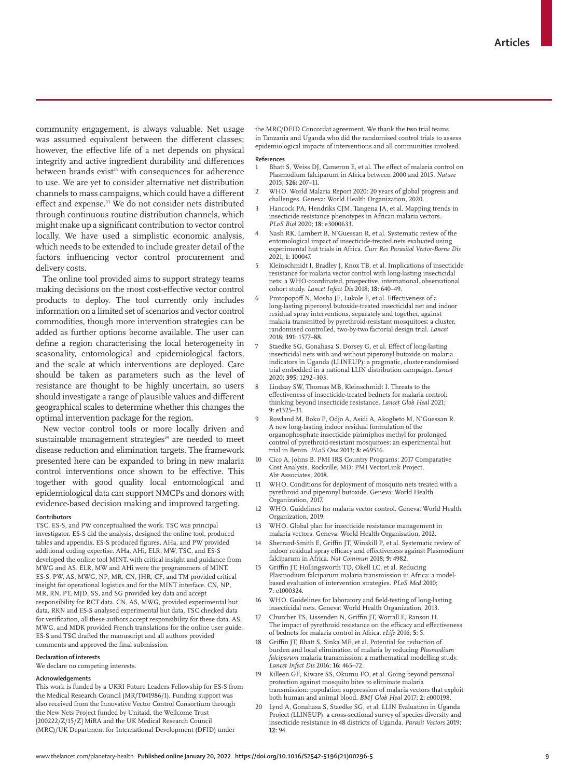community engagement, is always valuable. Net usage was assumed equivalent between the different classes; however, the effective life of a net depends on physical integrity and active ingredient durability and differences between brands exist<sup>23</sup> with consequences for adherence to use. We are yet to consider alternative net distribution channels to mass campaigns, which could have a different effect and expense.<sup>33</sup> We do not consider nets distributed through continuous routine distribution channels, which might make up a significant contribution to vector control locally. We have used a simplistic economic analysis, which needs to be extended to include greater detail of the factors influencing vector control procurement and delivery costs.

The online tool provided aims to support strategy teams making decisions on the most cost-effective vector control products to deploy. The tool currently only includes information on a limited set of scenarios and vector control commodities, though more intervention strategies can be added as further options become available. The user can define a region characterising the local heterogeneity in seasonality, entomological and epidemiological factors, and the scale at which interventions are deployed. Care should be taken as parameters such as the level of resistance are thought to be highly uncertain, so users should investigate a range of plausible values and different geographical scales to determine whether this changes the optimal intervention package for the region.

New vector control tools or more locally driven and sustainable management strategies<sup>34</sup> are needed to meet disease reduction and elimination targets. The framework presented here can be expanded to bring in new malaria control interventions once shown to be effective. This together with good quality local entomological and epidemiological data can support NMCPs and donors with evidence-based decision making and improved targeting.

#### **Contributors**

TSC, ES-S, and PW conceptualised the work. TSC was principal investigator. ES-S did the analysis, designed the online tool, produced tables and appendix. ES-S produced figures. AHa, and PW provided additional coding expertise. AHa, AHi, ELR, MW, TSC, and ES-S developed the online tool MINT, with critical insight and guidance from MWG and AS. ELR, MW and AHi were the programmers of MINT. ES-S, PW, AS, MWG, NP, MR, CN, JHR, CF, and TM provided critical insight for operational logistics and for the MINT interface. CN, NP, MR, RN, PT, MJD, SS, and SG provided key data and accept responsibility for RCT data. CN, AS, MWG, provided experimental hut data, RKN and ES-S analysed experimental hut data, TSC checked data for verification, all these authors accept responsibility for these data. AS, MWG, and MDK provided French translations for the online user guide. ES-S and TSC drafted the manuscript and all authors provided comments and approved the final submission.

### **Declaration of interests**

We declare no competing interests.

## **Acknowledgements**

This work is funded by a UKRI Future Leaders Fellowship for ES-S from the Medical Research Council (MR/T041986/1). Funding support was also received from the Innovative Vector Control Consortium through the New Nets Project funded by Unitaid, the Wellcome Trust [200222/Z/15/Z] MiRA and the UK Medical Research Council (MRC)/UK Department for International Development (DFID) under

the MRC/DFID Concordat agreement. We thank the two trial teams in Tanzania and Uganda who did the randomised control trials to assess epidemiological impacts of interventions and all communities involved. **References**

- 1 Bhatt S, Weiss DJ, Cameron E, et al. The effect of malaria control on Plasmodium falciparum in Africa between 2000 and 2015. *Nature* 2015; **526:** 207–11.
- 2 WHO. World Malaria Report 2020: 20 years of global progress and challenges. Geneva: World Health Organization, 2020.
- 3 Hancock PA, Hendriks CJM, Tangena JA, et al. Mapping trends in insecticide resistance phenotypes in African malaria vectors. *PLoS Biol* 2020; **18:** e3000633.
- Nash RK, Lambert B, N'Guessan R, et al. Systematic review of the entomological impact of insecticide-treated nets evaluated using experimental hut trials in Africa. *Curr Res Parasitol Vector-Borne Dis*  2021; **1:** 100047.
- 5 Kleinschmidt I, Bradley J, Knox TB, et al. Implications of insecticide resistance for malaria vector control with long-lasting insecticidal nets: a WHO-coordinated, prospective, international, observational cohort study. *Lancet Infect Dis* 2018; **18:** 640–49.
- Protopopoff N, Mosha JF, Lukole E, et al. Effectiveness of a long-lasting piperonyl butoxide-treated insecticidal net and indoor residual spray interventions, separately and together, against malaria transmitted by pyrethroid-resistant mosquitoes: a cluster, randomised controlled, two-by-two factorial design trial. *Lancet* 2018; **391:** 1577–88.
- Staedke SG, Gonahasa S, Dorsey G, et al. Effect of long-lasting insecticidal nets with and without piperonyl butoxide on malaria indicators in Uganda (LLINEUP): a pragmatic, cluster-randomised trial embedded in a national LLIN distribution campaign. *Lancet* 2020; **395:** 1292–303.
- Lindsay SW, Thomas MB, Kleinschmidt I. Threats to the effectiveness of insecticide-treated bednets for malaria control: thinking beyond insecticide resistance. *Lancet Glob Heal* 2021; **9:** e1325–31.
- 9 Rowland M, Boko P, Odjo A, Asidi A, Akogbeto M, N'Guessan R. A new long-lasting indoor residual formulation of the organophosphate insecticide pirimiphos methyl for prolonged control of pyrethroid-resistant mosquitoes: an experimental hut trial in Benin. *PLoS One* 2013; **8:** e69516.
- 10 Cico A, Johns B. PMI IRS Country Programs: 2017 Comparative Cost Analysis. Rockville, MD: PMI VectorLink Project, Abt Associates, 2018.
- 11 WHO. Conditions for deployment of mosquito nets treated with a pyrethroid and piperonyl butoxide. Geneva: World Health Organization, 2017.
- 12 WHO. Guidelines for malaria vector control. Geneva: World Health Organization, 2019.
- 13 WHO. Global plan for insecticide resistance management in malaria vectors. Geneva: World Health Organisation, 2012.
- 14 Sherrard-Smith E, Griffin JT, Winskill P, et al. Systematic review of indoor residual spray efficacy and effectiveness against Plasmodium falciparum in Africa. *Nat Commun* 2018; **9:** 4982.
- 15 Griffin JT, Hollingsworth TD, Okell LC, et al. Reducing Plasmodium falciparum malaria transmission in Africa: a modelbased evaluation of intervention strategies. *PLoS Med* 2010; **7:** e1000324.
- 16 WHO. Guidelines for laboratory and field-testing of long-lasting insecticidal nets. Geneva: World Health Organization, 2013.
- 17 Churcher TS, Lissenden N, Griffin JT, Worrall E, Ranson H. The impact of pyrethroid resistance on the efficacy and effectiveness of bednets for malaria control in Africa. *eLife* 2016; **5:** 5.
- 18 Griffin JT, Bhatt S, Sinka ME, et al. Potential for reduction of burden and local elimination of malaria by reducing *Plasmodium falciparum* malaria transmission: a mathematical modelling study. *Lancet Infect Dis* 2016; **16:** 465–72.
- Killeen GF, Kiware SS, Okumu FO, et al. Going beyond personal protection against mosquito bites to eliminate malaria transmission: population suppression of malaria vectors that exploit both human and animal blood. *BMJ Glob Heal* 2017; **2:** e000198.
- 20 Lynd A, Gonahasa S, Staedke SG, et al. LLIN Evaluation in Uganda Project (LLINEUP): a cross-sectional survey of species diversity and insecticide resistance in 48 districts of Uganda. *Parasit Vectors* 2019; **12:** 94.